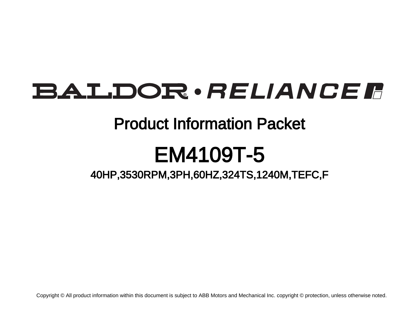# **BALDOR** · RELIANCE F

## Product Information Packet

# EM4109T-5

40HP,3530RPM,3PH,60HZ,324TS,1240M,TEFC,F

Copyright © All product information within this document is subject to ABB Motors and Mechanical Inc. copyright © protection, unless otherwise noted.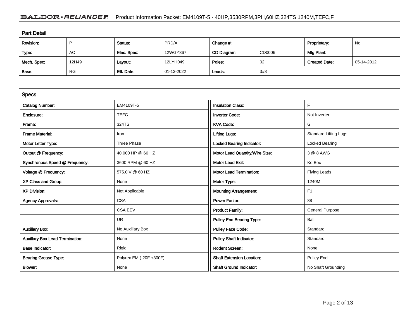### BALDOR · RELIANCE F Product Information Packet: EM4109T-5 - 40HP,3530RPM,3PH,60HZ,324TS,1240M,TEFC,F

| <b>Part Detail</b> |           |             |            |             |        |                      |            |  |
|--------------------|-----------|-------------|------------|-------------|--------|----------------------|------------|--|
| Revision:          | D         | Status:     | PRD/A      | Change #:   |        | Proprietary:         | No         |  |
| Type:              | AC        | Elec. Spec: | 12WGY367   | CD Diagram: | CD0006 | Mfg Plant:           |            |  |
| Mech. Spec:        | 12H49     | Layout:     | 12LYH049   | Poles:      | 02     | <b>Created Date:</b> | 05-14-2012 |  |
| Base:              | <b>RG</b> | Eff. Date:  | 01-13-2022 | Leads:      | 3#8    |                      |            |  |

| <b>Specs</b>                           |                         |                                  |                              |
|----------------------------------------|-------------------------|----------------------------------|------------------------------|
| <b>Catalog Number:</b>                 | EM4109T-5               | <b>Insulation Class:</b>         | F                            |
| Enclosure:                             | <b>TEFC</b>             | <b>Inverter Code:</b>            | Not Inverter                 |
| Frame:                                 | 324TS                   | <b>KVA Code:</b>                 | G                            |
| <b>Frame Material:</b>                 | Iron                    | <b>Lifting Lugs:</b>             | <b>Standard Lifting Lugs</b> |
| Motor Letter Type:                     | Three Phase             | <b>Locked Bearing Indicator:</b> | <b>Locked Bearing</b>        |
| Output @ Frequency:                    | 40.000 HP @ 60 HZ       | Motor Lead Quantity/Wire Size:   | 3 @ 8 AWG                    |
| Synchronous Speed @ Frequency:         | 3600 RPM @ 60 HZ        | Motor Lead Exit:                 | Ko Box                       |
| Voltage @ Frequency:                   | 575.0 V @ 60 HZ         | <b>Motor Lead Termination:</b>   | <b>Flying Leads</b>          |
| XP Class and Group:                    | None                    | Motor Type:                      | 1240M                        |
| <b>XP Division:</b>                    | Not Applicable          | <b>Mounting Arrangement:</b>     | F1                           |
| <b>Agency Approvals:</b>               | <b>CSA</b>              | <b>Power Factor:</b>             | 88                           |
|                                        | <b>CSA EEV</b>          | <b>Product Family:</b>           | <b>General Purpose</b>       |
|                                        | <b>UR</b>               | <b>Pulley End Bearing Type:</b>  | Ball                         |
| <b>Auxillary Box:</b>                  | No Auxillary Box        | <b>Pulley Face Code:</b>         | Standard                     |
| <b>Auxillary Box Lead Termination:</b> | None                    | <b>Pulley Shaft Indicator:</b>   | Standard                     |
| <b>Base Indicator:</b>                 | Rigid                   | <b>Rodent Screen:</b>            | None                         |
| <b>Bearing Grease Type:</b>            | Polyrex EM (-20F +300F) | <b>Shaft Extension Location:</b> | Pulley End                   |
| Blower:                                | None                    | <b>Shaft Ground Indicator:</b>   | No Shaft Grounding           |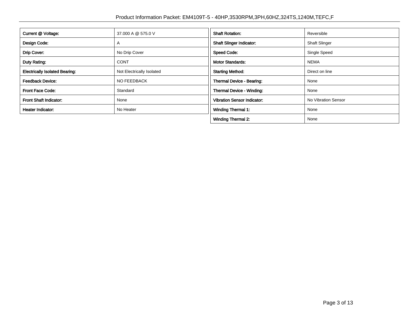| Current @ Voltage:                    | 37,000 A @ 575.0 V        | <b>Shaft Rotation:</b>             | Reversible           |
|---------------------------------------|---------------------------|------------------------------------|----------------------|
| Design Code:                          | $\overline{A}$            | <b>Shaft Slinger Indicator:</b>    | <b>Shaft Slinger</b> |
| Drip Cover:                           | No Drip Cover             | <b>Speed Code:</b>                 | Single Speed         |
| Duty Rating:                          | <b>CONT</b>               | <b>Motor Standards:</b>            | <b>NEMA</b>          |
| <b>Electrically Isolated Bearing:</b> | Not Electrically Isolated | <b>Starting Method:</b>            | Direct on line       |
| <b>Feedback Device:</b>               | <b>NO FEEDBACK</b>        | Thermal Device - Bearing:          | None                 |
| <b>Front Face Code:</b>               | Standard                  | Thermal Device - Winding:          | None                 |
| Front Shaft Indicator:                | None                      | <b>Vibration Sensor Indicator:</b> | No Vibration Sensor  |
| <b>Heater Indicator:</b>              | No Heater                 | <b>Winding Thermal 1:</b>          | None                 |
|                                       |                           | <b>Winding Thermal 2:</b>          | None                 |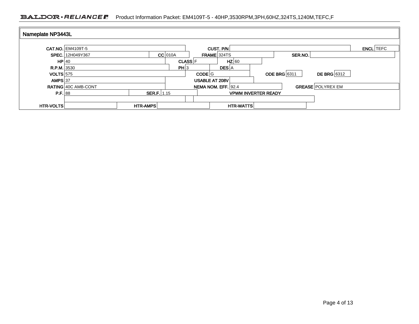### BALDOR · RELIANCE F Product Information Packet: EM4109T-5 - 40HP,3530RPM,3PH,60HZ,324TS,1240M,TEFC,F

| Nameplate NP3443L |                          |                    |                |                     |                            |                                    |                  |
|-------------------|--------------------------|--------------------|----------------|---------------------|----------------------------|------------------------------------|------------------|
|                   | <b>CAT.NO. EM4109T-5</b> |                    |                | CUST. P/N           |                            |                                    | <b>ENCL</b> TEFC |
|                   | SPEC. 12H049Y367         |                    | $CC$ 010A      | <b>FRAME 324TS</b>  |                            | SER.NO.                            |                  |
| HP 40             |                          |                    | <b>CLASS</b> F |                     | $HZ$ 60                    |                                    |                  |
| R.P.M. 3530       |                          |                    | PH 3           |                     | <b>DES</b> A               |                                    |                  |
| $VOLTS$ 575       |                          |                    |                | CODE G              |                            | DE BRG 6312<br><b>ODE BRG</b> 6311 |                  |
| AMPS $37$         |                          |                    |                | USABLE AT 208V      |                            |                                    |                  |
|                   | RATING 40C AMB-CONT      |                    |                | NEMA NOM. EFF. 92.4 |                            | <b>GREASE POLYREX EM</b>           |                  |
| P.F. 88           |                          | <b>SER.F.</b> 1.15 |                |                     | <b>VPWM INVERTER READY</b> |                                    |                  |
|                   |                          |                    |                |                     |                            |                                    |                  |
| <b>HTR-VOLTS</b>  |                          | HTR-AMPS           |                |                     | <b>HTR-WATTS</b>           |                                    |                  |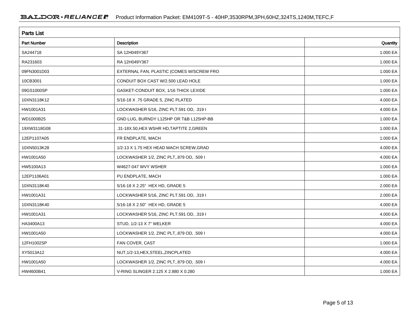| <b>Parts List</b>  |                                           |          |  |  |  |  |
|--------------------|-------------------------------------------|----------|--|--|--|--|
| <b>Part Number</b> | Description                               | Quantity |  |  |  |  |
| SA244718           | SA 12H049Y367                             | 1.000 EA |  |  |  |  |
| RA231603           | RA 12H049Y367                             | 1.000 EA |  |  |  |  |
| 09FN3001D03        | EXTERNAL FAN, PLASTIC (COMES W/SCREW FRO  | 1.000 EA |  |  |  |  |
| 10CB3001           | CONDUIT BOX CAST W/2.500 LEAD HOLE        | 1.000 EA |  |  |  |  |
| 09GS1000SP         | GASKET-CONDUIT BOX, 1/16 THICK LEXIDE     | 1.000 EA |  |  |  |  |
| 10XN3118K12        | 5/16-18 X .75 GRADE 5, ZINC PLATED        | 4.000 EA |  |  |  |  |
| HW1001A31          | LOCKWASHER 5/16, ZINC PLT.591 OD, .319 I  | 4.000 EA |  |  |  |  |
| WD1000B25          | GND LUG, BURNDY L125HP OR T&B L125HP-BB   | 1.000 EA |  |  |  |  |
| 19XW3118G08        | .31-18X.50, HEX WSHR HD, TAPTITE 2, GREEN | 1.000 EA |  |  |  |  |
| 12EP1107A05        | FR ENDPLATE, MACH                         | 1.000 EA |  |  |  |  |
| 10XN5013K28        | 1/2-13 X 1.75 HEX HEAD MACH SCREW, GRAD   | 4.000 EA |  |  |  |  |
| HW1001A50          | LOCKWASHER 1/2, ZINC PLT, 879 OD, .509 I  | 4.000 EA |  |  |  |  |
| HW5100A13          | W4627-047 WVY WSHER                       | 1.000 EA |  |  |  |  |
| 12EP1106A01        | PU ENDPLATE, MACH                         | 1.000 EA |  |  |  |  |
| 10XN3118K40        | 5/16-18 X 2.25" HEX HD, GRADE 5           | 2.000 EA |  |  |  |  |
| HW1001A31          | LOCKWASHER 5/16, ZINC PLT.591 OD, .319 I  | 2.000 EA |  |  |  |  |
| 10XN3118K40        | 5/16-18 X 2.50" HEX HD, GRADE 5           | 4.000 EA |  |  |  |  |
| HW1001A31          | LOCKWASHER 5/16, ZINC PLT.591 OD, .319 I  | 4.000 EA |  |  |  |  |
| HA3400A13          | STUD, 1/2-13 X 7" WELKER                  | 4.000 EA |  |  |  |  |
| HW1001A50          | LOCKWASHER 1/2, ZINC PLT, 879 OD, .509 I  | 4.000 EA |  |  |  |  |
| 12FH1002SP         | FAN COVER, CAST                           | 1.000 EA |  |  |  |  |
| XY5013A12          | NUT, 1/2-13, HEX, STEEL, ZINCPLATED       | 4.000 EA |  |  |  |  |
| HW1001A50          | LOCKWASHER 1/2, ZINC PLT, 879 OD, .509 I  | 4.000 EA |  |  |  |  |
| HW4600B41          | V-RING SLINGER 2.125 X 2.880 X 0.280      | 1.000 EA |  |  |  |  |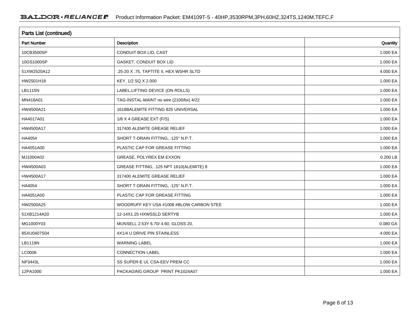| <b>Parts List (continued)</b> |                                          |          |  |  |  |  |
|-------------------------------|------------------------------------------|----------|--|--|--|--|
| <b>Part Number</b>            | Description                              | Quantity |  |  |  |  |
| 10CB3500SP                    | CONDUIT BOX LID, CAST                    | 1.000 EA |  |  |  |  |
| 10GS1000SP                    | GASKET, CONDUIT BOX LID                  | 1.000 EA |  |  |  |  |
| 51XW2520A12                   | .25-20 X .75, TAPTITE II, HEX WSHR SLTD  | 4.000 EA |  |  |  |  |
| HW2501H18                     | KEY, 1/2 SQ X 2.000                      | 1.000 EA |  |  |  |  |
| LB1115N                       | LABEL, LIFTING DEVICE (ON ROLLS)         | 1.000 EA |  |  |  |  |
| MN416A01                      | TAG-INSTAL-MAINT no wire (2100/bx) 4/22  | 1.000 EA |  |  |  |  |
| HW4500A21                     | 1618BALEMITE FITTING 825 UNIVERSAL       | 1.000 EA |  |  |  |  |
| HA4017A01                     | 1/8 X 4 GREASE EXT (F/S)                 | 1.000 EA |  |  |  |  |
| HW4500A17                     | 317400 ALEMITE GREASE RELIEF             | 1.000 EA |  |  |  |  |
| HA4054                        | SHORT T-DRAIN FITTING, .125" N.P.T.      | 1.000 EA |  |  |  |  |
| HA4051A00                     | PLASTIC CAP FOR GREASE FITTING           | 1.000 EA |  |  |  |  |
| MJ1000A02                     | GREASE, POLYREX EM EXXON                 | 0.200 LB |  |  |  |  |
| HW4500A03                     | GREASE FITTING, .125 NPT 1610(ALEMITE) 8 | 1.000 EA |  |  |  |  |
| HW4500A17                     | 317400 ALEMITE GREASE RELIEF             | 1.000 EA |  |  |  |  |
| HA4054                        | SHORT T-DRAIN FITTING, .125" N.P.T.      | 1.000 EA |  |  |  |  |
| HA4051A00                     | PLASTIC CAP FOR GREASE FITTING           | 1.000 EA |  |  |  |  |
| HW2500A25                     | WOODRUFF KEY USA #1008 #BLOW CARBON STEE | 1.000 EA |  |  |  |  |
| 51XB1214A20                   | 12-14X1.25 HXWSSLD SERTYB                | 1.000 EA |  |  |  |  |
| MG1000Y03                     | MUNSELL 2.53Y 6.70/ 4.60, GLOSS 20,      | 0.080 GA |  |  |  |  |
| 85XU0407S04                   | 4X1/4 U DRIVE PIN STAINLESS              | 4.000 EA |  |  |  |  |
| LB1119N                       | <b>WARNING LABEL</b>                     | 1.000 EA |  |  |  |  |
| LC0006                        | <b>CONNECTION LABEL</b>                  | 1.000 EA |  |  |  |  |
| NP3443L                       | SS SUPER-E UL CSA-EEV PREM CC            | 1.000 EA |  |  |  |  |
| 12PA1000                      | PACKAGING GROUP PRINT PK1024A07          | 1.000 EA |  |  |  |  |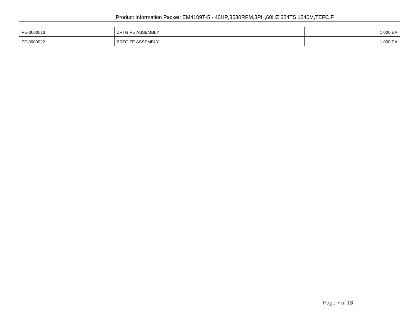| PE-0000013 | <b>ZRTG PE ASSEMBLY</b> | .000 EA |
|------------|-------------------------|---------|
| FE-0000022 | <b>ZRTG FE ASSEMBLY</b> | .000 EA |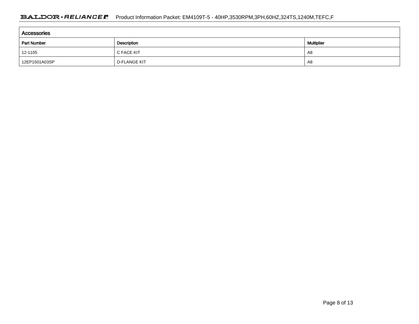| Accessories        |                     |    |  |  |  |  |
|--------------------|---------------------|----|--|--|--|--|
| <b>Part Number</b> | <b>Multiplier</b>   |    |  |  |  |  |
| 12-1105            | C FACE KIT          | A8 |  |  |  |  |
| 12EP1501A03SP      | <b>D-FLANGE KIT</b> | A8 |  |  |  |  |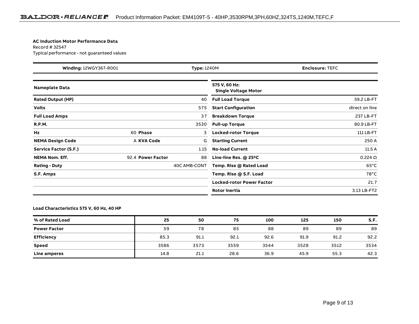#### **AC Induction Motor Performance Data**

Record # 32547Typical performance - not guaranteed values

| Winding: 12WGY367-R001<br><b>Type: 1240M</b> |                   |              | <b>Enclosure: TEFC</b>                       |                 |
|----------------------------------------------|-------------------|--------------|----------------------------------------------|-----------------|
| <b>Nameplate Data</b>                        |                   |              | 575 V, 60 Hz:<br><b>Single Voltage Motor</b> |                 |
| <b>Rated Output (HP)</b>                     |                   | 40           | <b>Full Load Torque</b>                      | 59.2 LB-FT      |
| <b>Volts</b>                                 |                   | 575          | <b>Start Configuration</b>                   | direct on line  |
| <b>Full Load Amps</b>                        |                   | 37           | <b>Breakdown Torque</b>                      | 237 LB-FT       |
| <b>R.P.M.</b>                                |                   | 3530         | <b>Pull-up Torque</b>                        | 80.9 LB-FT      |
| Hz                                           | 60 Phase          | 3            | <b>Locked-rotor Torque</b>                   | 111 LB-FT       |
| <b>NEMA Design Code</b>                      | A KVA Code        | G            | <b>Starting Current</b>                      | 250 A           |
| Service Factor (S.F.)                        |                   | 1.15         | <b>No-load Current</b>                       | 11.5A           |
| <b>NEMA Nom. Eff.</b>                        | 92.4 Power Factor | 88           | Line-line Res. @ 25°C                        | $0.224\ \Omega$ |
| <b>Rating - Duty</b>                         |                   | 40C AMB-CONT | Temp. Rise @ Rated Load                      | $65^{\circ}$ C  |
| S.F. Amps                                    |                   |              | Temp. Rise @ S.F. Load                       | $78^{\circ}$ C  |
|                                              |                   |              | <b>Locked-rotor Power Factor</b>             | 21.7            |
|                                              |                   |              | <b>Rotor inertia</b>                         | 3.13 LB-FT2     |

#### **Load Characteristics 575 V, 60 Hz, 40 HP**

| % of Rated Load     | 25   | 50   | 75   | 100  | 125  | 150  | S.F. |
|---------------------|------|------|------|------|------|------|------|
| <b>Power Factor</b> | 59   | 78   | 85   | 88   | 89   | 89   | 89   |
| <b>Efficiency</b>   | 85.3 | 91.1 | 92.1 | 92.6 | 91.9 | 91.2 | 92.2 |
| Speed               | 3586 | 3573 | 3559 | 3544 | 3528 | 3512 | 3534 |
| Line amperes        | 14.8 | 21.1 | 28.6 | 36.9 | 45.9 | 55.3 | 42.3 |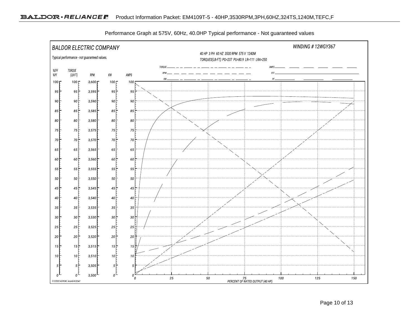

Performance Graph at 575V, 60Hz, 40.0HP Typical performance - Not guaranteed values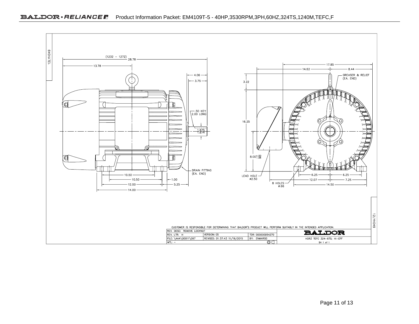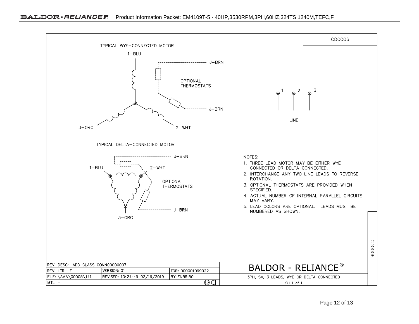